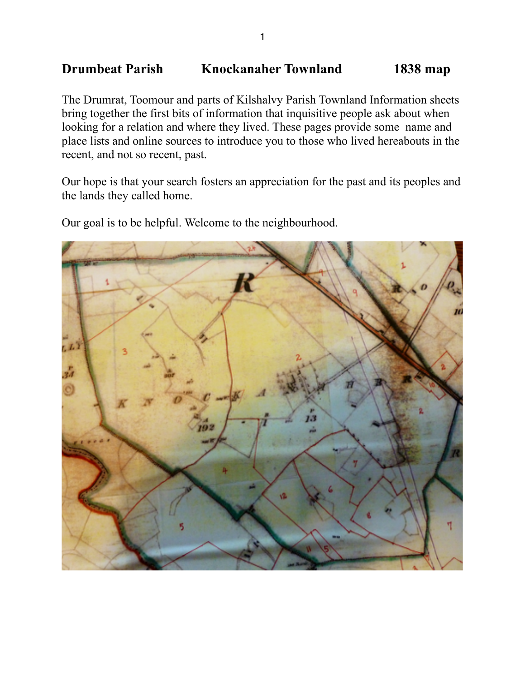## **Drumbeat Parish Knockanaher Townland 1838 map**

The Drumrat, Toomour and parts of Kilshalvy Parish Townland Information sheets bring together the first bits of information that inquisitive people ask about when looking for a relation and where they lived. These pages provide some name and place lists and online sources to introduce you to those who lived hereabouts in the recent, and not so recent, past.

Our hope is that your search fosters an appreciation for the past and its peoples and the lands they called home.

Our goal is to be helpful. Welcome to the neighbourhood.

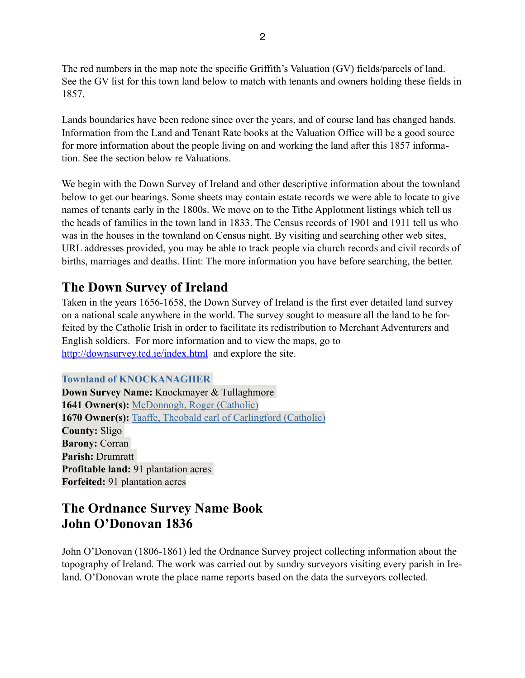The red numbers in the map note the specific Griffith's Valuation (GV) fields/parcels of land. See the GV list for this town land below to match with tenants and owners holding these fields in 1857.

Lands boundaries have been redone since over the years, and of course land has changed hands. Information from the Land and Tenant Rate books at the Valuation Office will be a good source for more information about the people living on and working the land after this 1857 information. See the section below re Valuations.

We begin with the Down Survey of Ireland and other descriptive information about the townland below to get our bearings. Some sheets may contain estate records we were able to locate to give names of tenants early in the 1800s. We move on to the Tithe Applotment listings which tell us the heads of families in the town land in 1833. The Census records of 1901 and 1911 tell us who was in the houses in the townland on Census night. By visiting and searching other web sites, URL addresses provided, you may be able to track people via church records and civil records of births, marriages and deaths. Hint: The more information you have before searching, the better.

# **The Down Survey of Ireland**

Taken in the years 1656-1658, the Down Survey of Ireland is the first ever detailed land survey on a national scale anywhere in the world. The survey sought to measure all the land to be forfeited by the Catholic Irish in order to facilitate its redistribution to Merchant Adventurers and English soldiers. For more information and to view the maps, go to <http://downsurvey.tcd.ie/index.html>and explore the site.

### **Townland of KNOCKANAGHER**

**Down Survey Name:** Knockmayer & Tullaghmore **1641 Owner(s):** McDonnogh, Roger (Catholic) **1670 Owner(s):** Taaffe, Theobald earl of Carlingford (Catholic) **County:** Sligo **Barony:** Corran **Parish:** Drumratt **Profitable land:** 91 plantation acres **Forfeited:** 91 plantation acres

## **The Ordnance Survey Name Book John O'Donovan 1836**

John O'Donovan (1806-1861) led the Ordnance Survey project collecting information about the topography of Ireland. The work was carried out by sundry surveyors visiting every parish in Ireland. O'Donovan wrote the place name reports based on the data the surveyors collected.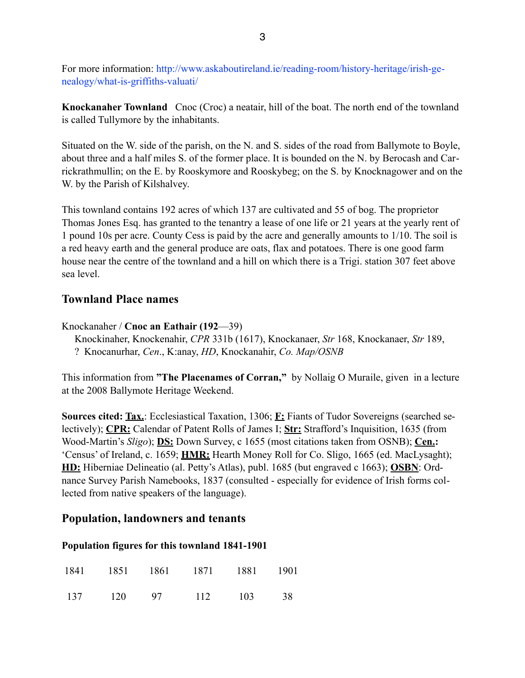For more information: http://www.askaboutireland.ie/reading-room/history-heritage/irish-genealogy/what-is-griffiths-valuati/

**Knockanaher Townland** Cnoc (Croc) a neatair, hill of the boat. The north end of the townland is called Tullymore by the inhabitants.

Situated on the W. side of the parish, on the N. and S. sides of the road from Ballymote to Boyle, about three and a half miles S. of the former place. It is bounded on the N. by Berocash and Carrickrathmullin; on the E. by Rooskymore and Rooskybeg; on the S. by Knocknagower and on the W. by the Parish of Kilshalvey.

This townland contains 192 acres of which 137 are cultivated and 55 of bog. The proprietor Thomas Jones Esq. has granted to the tenantry a lease of one life or 21 years at the yearly rent of 1 pound 10s per acre. County Cess is paid by the acre and generally amounts to 1/10. The soil is a red heavy earth and the general produce are oats, flax and potatoes. There is one good farm house near the centre of the townland and a hill on which there is a Trigi. station 307 feet above sea level.

### **Townland Place names**

Knockanaher / **Cnoc an Eathair (192**—39)

 Knockinaher, Knockenahir, *CPR* 331b (1617), Knockanaer, *Str* 168, Knockanaer, *Str* 189, ? Knocanurhar, *Cen*., K:anay, *HD*, Knockanahir, *Co. Map/OSNB*

This information from **"The Placenames of Corran,"** by Nollaig O Muraile, given in a lecture at the 2008 Ballymote Heritage Weekend.

**Sources cited: Tax.**: Ecclesiastical Taxation, 1306; **F:** Fiants of Tudor Sovereigns (searched selectively); **CPR:** Calendar of Patent Rolls of James I; **Str:** Strafford's Inquisition, 1635 (from Wood-Martin's *Sligo*); **DS:** Down Survey, c 1655 (most citations taken from OSNB); **Cen.:** 'Census' of Ireland, c. 1659; **HMR:** Hearth Money Roll for Co. Sligo, 1665 (ed. MacLysaght); **HD:** Hiberniae Delineatio (al. Petty's Atlas), publ. 1685 (but engraved c 1663); **OSBN**: Ordnance Survey Parish Namebooks, 1837 (consulted - especially for evidence of Irish forms collected from native speakers of the language).

### **Population, landowners and tenants**

### **Population figures for this townland 1841-1901**

|         |    | 1841 1851 1861 1871 1881 1901 |    |
|---------|----|-------------------------------|----|
| 137 120 | 97 | 112 103                       | 38 |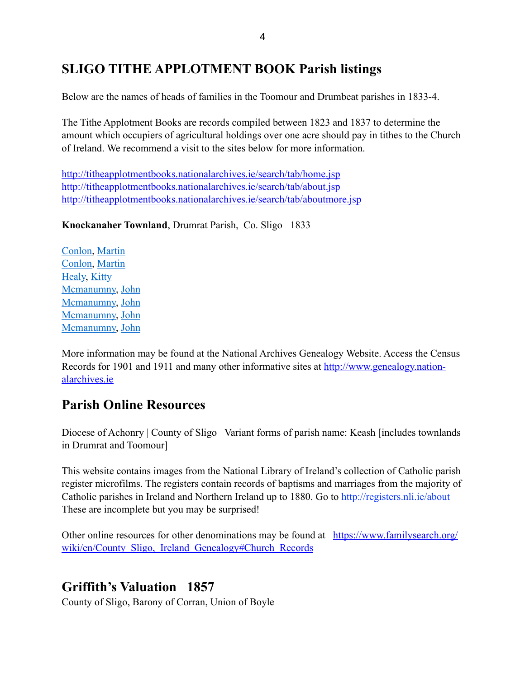# **SLIGO TITHE APPLOTMENT BOOK Parish listings**

Below are the names of heads of families in the Toomour and Drumbeat parishes in 1833-4.

The Tithe Applotment Books are records compiled between 1823 and 1837 to determine the amount which occupiers of agricultural holdings over one acre should pay in tithes to the Church of Ireland. We recommend a visit to the sites below for more information.

<http://titheapplotmentbooks.nationalarchives.ie/search/tab/home.jsp> <http://titheapplotmentbooks.nationalarchives.ie/search/tab/about.jsp> <http://titheapplotmentbooks.nationalarchives.ie/search/tab/aboutmore.jsp>

**Knockanaher Townland**, Drumrat Parish, Co. Sligo 1833

[Conlon](http://titheapplotmentbooks.nationalarchives.ie/reels/tab//004587435/004587435_00148.pdf), [Martin](http://titheapplotmentbooks.nationalarchives.ie/reels/tab//004587435/004587435_00148.pdf) [Conlon](http://titheapplotmentbooks.nationalarchives.ie/reels/tab//004587435/004587435_00148.pdf), [Martin](http://titheapplotmentbooks.nationalarchives.ie/reels/tab//004587435/004587435_00148.pdf) [Healy,](http://titheapplotmentbooks.nationalarchives.ie/reels/tab//004587435/004587435_00148.pdf) [Kitty](http://titheapplotmentbooks.nationalarchives.ie/reels/tab//004587435/004587435_00148.pdf) [Mcmanumny, John](http://titheapplotmentbooks.nationalarchives.ie/reels/tab//004587435/004587435_00148.pdf) [Mcmanumny, John](http://titheapplotmentbooks.nationalarchives.ie/reels/tab//004587435/004587435_00148.pdf) [Mcmanumny, John](http://titheapplotmentbooks.nationalarchives.ie/reels/tab//004587435/004587435_00148.pdf) [Mcmanumny, John](http://titheapplotmentbooks.nationalarchives.ie/reels/tab//004587435/004587435_00148.pdf)

More information may be found at the National Archives Genealogy Website. Access the Census [Records for 1901 and 1911 and many other informative sites at http://www.genealogy.nation](http://www.genealogy.nationalarchives.ie)alarchives.ie

# **Parish Online Resources**

Diocese of Achonry | County of Sligo Variant forms of parish name: Keash [includes townlands] in Drumrat and Toomour]

This website contains images from the National Library of Ireland's collection of Catholic parish register microfilms. The registers contain records of baptisms and marriages from the majority of Catholic parishes in Ireland and Northern Ireland up to 1880. Go to<http://registers.nli.ie/about> These are incomplete but you may be surprised!

[Other online resources for other denominations may be found at https://www.familysearch.org/](https://www.familysearch.org/wiki/en/County_Sligo,_Ireland_Genealogy#Church_Records) wiki/en/County\_Sligo, Ireland\_Genealogy#Church\_Records

# **Griffith's Valuation 1857**

County of Sligo, Barony of Corran, Union of Boyle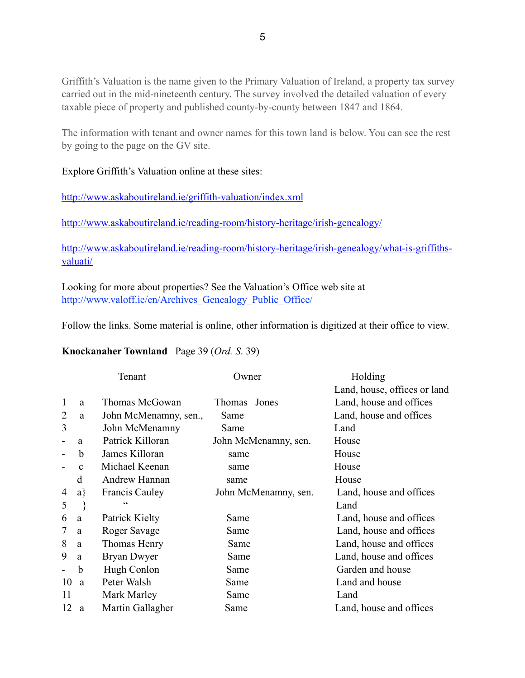Griffith's Valuation is the name given to the Primary Valuation of Ireland, a property tax survey carried out in the mid-nineteenth century. The survey involved the detailed valuation of every taxable piece of property and published county-by-county between 1847 and 1864.

The information with tenant and owner names for this town land is below. You can see the rest by going to the page on the GV site.

Explore Griffith's Valuation online at these sites:

<http://www.askaboutireland.ie/griffith-valuation/index.xml>

<http://www.askaboutireland.ie/reading-room/history-heritage/irish-genealogy/>

[http://www.askaboutireland.ie/reading-room/history-heritage/irish-genealogy/what-is-griffiths](http://www.askaboutireland.ie/reading-room/history-heritage/irish-genealogy/what-is-griffiths-valuati/)valuati/

Looking for more about properties? See the Valuation's Office web site at [http://www.valoff.ie/en/Archives\\_Genealogy\\_Public\\_Office/](http://www.valoff.ie/en/Archives_Genealogy_Public_Office/) 

Follow the links. Some material is online, other information is digitized at their office to view.

#### **Knockanaher Townland** Page 39 (*Ord. S*. 39)

| Tenant |              |                       | Owner                | Holding                      |  |
|--------|--------------|-----------------------|----------------------|------------------------------|--|
|        |              |                       |                      | Land, house, offices or land |  |
| 1      | a            | Thomas McGowan        | Jones<br>Thomas      | Land, house and offices      |  |
| 2      | a            | John McMenamny, sen., | Same                 | Land, house and offices      |  |
| 3      |              | John McMenamny        | Same                 | Land                         |  |
|        | a            | Patrick Killoran      | John McMenamny, sen. | House                        |  |
|        | b            | James Killoran        | same                 | House                        |  |
|        | $\mathbf{c}$ | Michael Keenan        | same                 | House                        |  |
|        | d            | Andrew Hannan         | same                 | House                        |  |
| 4      | $a\}$        | <b>Francis Cauley</b> | John McMenamny, sen. | Land, house and offices      |  |
| 5      | }            | $\epsilon$            |                      | Land                         |  |
| 6      | a            | Patrick Kielty        | Same                 | Land, house and offices      |  |
| 7      | a            | Roger Savage          | Same                 | Land, house and offices      |  |
| 8      | a            | Thomas Henry          | Same                 | Land, house and offices      |  |
| 9      | a            | Bryan Dwyer           | Same                 | Land, house and offices      |  |
|        | b            | Hugh Conlon           | Same                 | Garden and house             |  |
| 10     | a            | Peter Walsh           | Same                 | Land and house               |  |
| 11     |              | Mark Marley           | Same                 | Land                         |  |
| 12     | a            | Martin Gallagher      | Same                 | Land, house and offices      |  |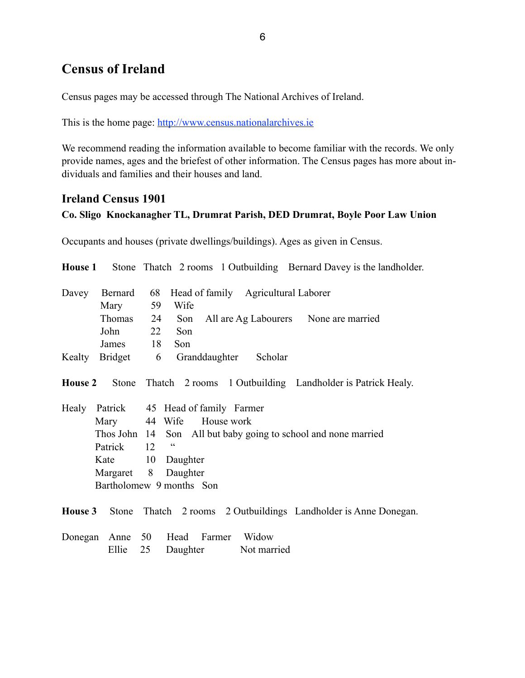# **Census of Ireland**

Census pages may be accessed through The National Archives of Ireland.

This is the home page: <http://www.census.nationalarchives.ie>

We recommend reading the information available to become familiar with the records. We only provide names, ages and the briefest of other information. The Census pages has more about individuals and families and their houses and land.

### **Ireland Census 1901**

### **Co. Sligo Knockanagher TL, Drumrat Parish, DED Drumrat, Boyle Poor Law Union**

Occupants and houses (private dwellings/buildings). Ages as given in Census.

|                |                    | <b>House 1</b> Stone Thatch 2 rooms 1 Outbuilding Bernard Davey is the landholder. |  |  |  |  |
|----------------|--------------------|------------------------------------------------------------------------------------|--|--|--|--|
| Davey          | Bernard 68<br>Mary | Head of family Agricultural Laborer<br>59<br>Wife                                  |  |  |  |  |
|                | Thomas 24          | Son All are Ag Labourers None are married                                          |  |  |  |  |
|                | John               | 22 Son                                                                             |  |  |  |  |
|                |                    | James 18 Son                                                                       |  |  |  |  |
| Kealty         |                    | Bridget 6 Granddaughter Scholar                                                    |  |  |  |  |
| <b>House 2</b> |                    | Stone Thatch 2 rooms 1 Outbuilding Landholder is Patrick Healy.                    |  |  |  |  |
|                |                    | Healy Patrick 45 Head of family Farmer                                             |  |  |  |  |
|                |                    | Mary 44 Wife House work                                                            |  |  |  |  |
|                |                    | Thos John 14 Son All but baby going to school and none married                     |  |  |  |  |
|                | Patrick            | C C<br>12                                                                          |  |  |  |  |
|                |                    | Kate 10 Daughter                                                                   |  |  |  |  |
|                |                    | Margaret 8 Daughter                                                                |  |  |  |  |
|                |                    | Bartholomew 9 months Son                                                           |  |  |  |  |
|                |                    | <b>House 3</b> Stone Thatch 2 rooms 2 Outbuildings Landholder is Anne Donegan.     |  |  |  |  |
|                |                    | Donegan Anne 50 Head Farmer Widow                                                  |  |  |  |  |
|                | Ellie              | 25<br>Daughter<br>Not married                                                      |  |  |  |  |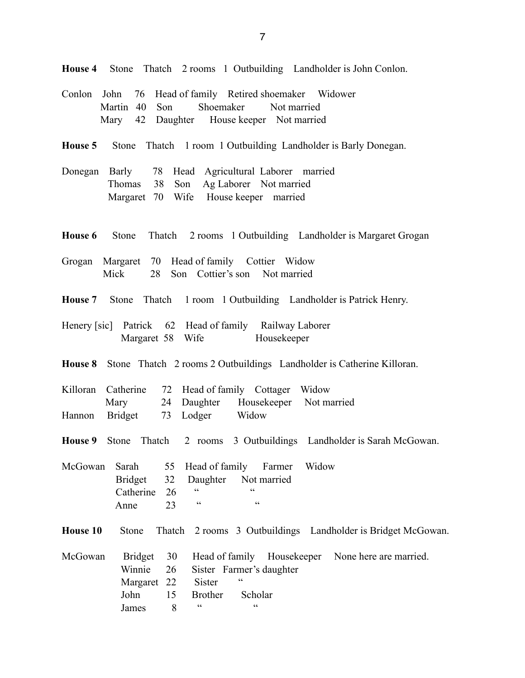- **House 4** Stone Thatch 2 rooms 1 Outbuilding Landholder is John Conlon.
- Conlon John 76 Head of family Retired shoemaker Widower Martin 40 Son Shoemaker Not married Mary 42 Daughter House keeper Not married
- **House 5** Stone Thatch 1 room 1 Outbuilding Landholder is Barly Donegan.
- Donegan Barly 78 Head Agricultural Laborer married Thomas 38 Son Ag Laborer Not married Margaret 70 Wife House keeper married
- **House 6** Stone Thatch 2 rooms 1 Outbuilding Landholder is Margaret Grogan
- Grogan Margaret 70 Head of family Cottier Widow Mick 28 Son Cottier's son Not married
- **House 7** Stone Thatch 1 room 1 Outbuilding Landholder is Patrick Henry.
- Henery [sic] Patrick 62 Head of family Railway Laborer Margaret 58 Wife Housekeeper
- **House 8** Stone Thatch 2 rooms 2 Outbuildings Landholder is Catherine Killoran.
- Killoran Catherine 72 Head of family Cottager Widow Mary 24 Daughter Housekeeper Not married Hannon Bridget 73 Lodger Widow
- **House 9** Stone Thatch 2 rooms 3 Outbuildings Landholder is Sarah McGowan.
- McGowan Sarah 55 Head of family Farmer Widow Bridget 32 Daughter Not married Catherine  $26$  " " Anne  $23$  "
- **House 10** Stone Thatch 2 rooms 3 Outbuildings Landholder is Bridget McGowan.

| McGowan |                    |   |                                    |                | Bridget 30 Head of family Housekeeper None here are married. |
|---------|--------------------|---|------------------------------------|----------------|--------------------------------------------------------------|
|         |                    |   | Winnie 26 Sister Farmer's daughter |                |                                                              |
|         | Margaret 22 Sister |   |                                    |                |                                                              |
|         | John 15 Brother    |   |                                    | <b>Scholar</b> |                                                              |
|         | James              | 8 | $\epsilon$                         |                |                                                              |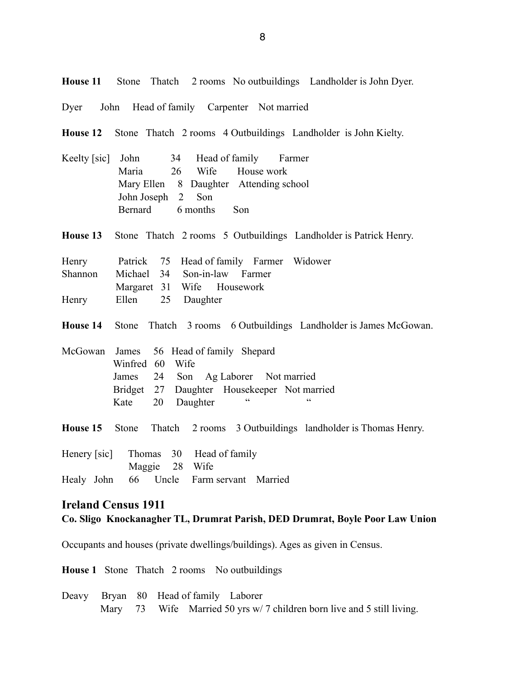**House 11** Stone Thatch 2 rooms No outbuildings Landholder is John Dyer.

Dyer John Head of family Carpenter Not married

**House 12** Stone Thatch 2 rooms 4 Outbuildings Landholder is John Kielty.

- Keelty [sic] John 34 Head of family Farmer Maria 26 Wife House work Mary Ellen 8 Daughter Attending school John Joseph 2 Son Bernard 6 months Son
- **House 13** Stone Thatch 2 rooms 5 Outbuildings Landholder is Patrick Henry.

Henry Patrick 75 Head of family Farmer Widower Shannon Michael 34 Son-in-law Farmer Margaret 31 Wife Housework Henry Ellen 25 Daughter

**House 14** Stone Thatch 3 rooms 6 Outbuildings Landholder is James McGowan.

|  | $\epsilon$      |                  | cc                                                                                                                            |
|--|-----------------|------------------|-------------------------------------------------------------------------------------------------------------------------------|
|  | Winfred 60 Wife | Kate 20 Daughter | McGowan James 56 Head of family Shepard<br>James 24 Son Ag Laborer Not married<br>Bridget 27 Daughter Housekeeper Not married |

**House 15** Stone Thatch 2 rooms 3 Outbuildings landholder is Thomas Henry.

Henery [sic] Thomas 30 Head of family Maggie 28 Wife Healy John 66 Uncle Farm servant Married

### **Ireland Census 1911 Co. Sligo Knockanagher TL, Drumrat Parish, DED Drumrat, Boyle Poor Law Union**

Occupants and houses (private dwellings/buildings). Ages as given in Census.

**House 1** Stone Thatch 2 rooms No outbuildings

Deavy Bryan 80 Head of family Laborer Mary 73 Wife Married 50 yrs w/ 7 children born live and 5 still living.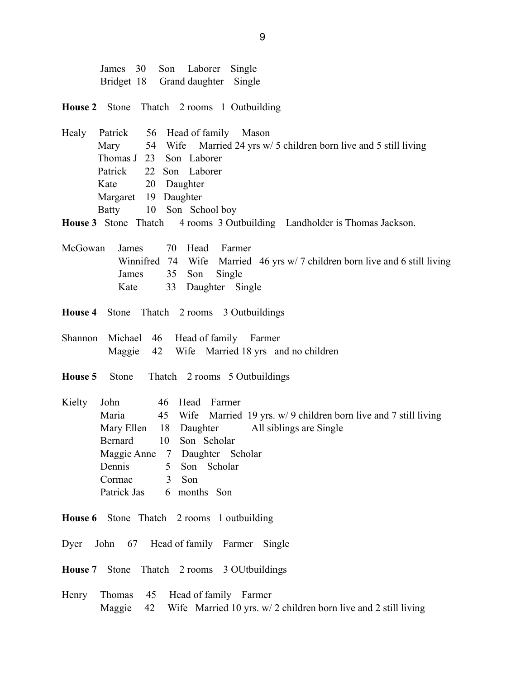|  |  | James 30 Son Laborer Single      |  |
|--|--|----------------------------------|--|
|  |  | Bridget 18 Grand daughter Single |  |

**House 2** Stone Thatch 2 rooms 1 Outbuilding

Healy Patrick 56 Head of family Mason Mary 54 Wife Married 24 yrs w/ 5 children born live and 5 still living Thomas J 23 Son Laborer Patrick 22 Son Laborer Kate 20 Daughter Margaret 19 Daughter Batty 10 Son School boy

**House 3** Stone Thatch 4 rooms 3 Outbuilding Landholder is Thomas Jackson.

- McGowan James 70 Head Farmer Winnifred 74 Wife Married 46 yrs w/ 7 children born live and 6 still living James 35 Son Single Kate 33 Daughter Single
- **House 4** Stone Thatch 2 rooms 3 Outbuildings
- Shannon Michael 46 Head of family Farmer Maggie 42 Wife Married 18 yrs and no children
- **House 5** Stone Thatch 2 rooms 5 Outbuildings
- Kielty John 46 Head Farmer Maria 45 Wife Married 19 yrs. w/ 9 children born live and 7 still living Mary Ellen 18 Daughter All siblings are Single Bernard 10 Son Scholar Maggie Anne 7 Daughter Scholar Dennis 5 Son Scholar Cormac 3 Son Patrick Jas 6 months Son

**House 6** Stone Thatch 2 rooms 1 outbuilding

Dyer John 67 Head of family Farmer Single

- **House 7** Stone Thatch 2 rooms 3 OUtbuildings
- Henry Thomas 45 Head of family Farmer Maggie 42 Wife Married 10 yrs. w/ 2 children born live and 2 still living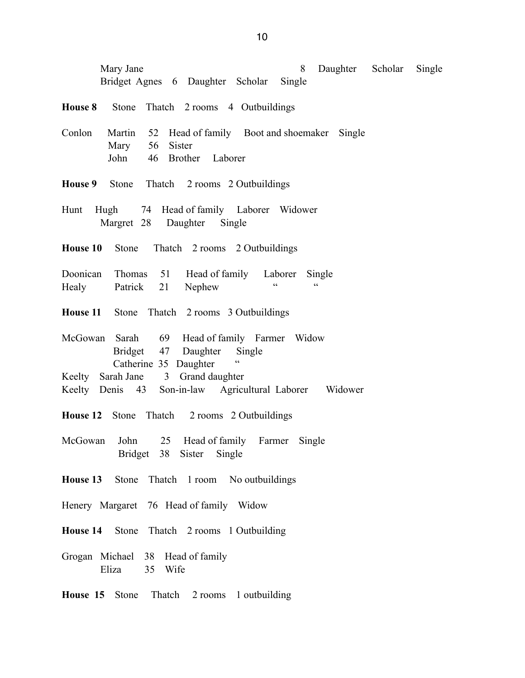Mary Jane 8 Daughter Scholar Single Bridget Agnes 6 Daughter Scholar Single

- **House 8** Stone Thatch 2 rooms 4 Outbuildings
- Conlon Martin 52 Head of family Boot and shoemaker Single Mary 56 Sister John 46 Brother Laborer
- **House 9** Stone Thatch 2 rooms 2 Outbuildings
- Hunt Hugh 74 Head of family Laborer Widower Margret 28 Daughter Single
- **House 10** Stone Thatch 2 rooms 2 Outbuildings
- Doonican Thomas 51 Head of family Laborer Single Healy Patrick 21 Nephew " "
- **House 11** Stone Thatch 2 rooms 3 Outbuildings
- McGowan Sarah 69 Head of family Farmer Widow Bridget 47 Daughter Single Catherine 35 Daughter Keelty Sarah Jane 3 Grand daughter Keelty Denis 43 Son-in-law Agricultural Laborer Widower
- **House 12** Stone Thatch 2 rooms 2 Outbuildings
- McGowan John 25 Head of family Farmer Single Bridget 38 Sister Single
- **House 13** Stone Thatch 1 room No outbuildings
- Henery Margaret 76 Head of family Widow
- **House 14** Stone Thatch 2 rooms 1 Outbuilding
- Grogan Michael 38 Head of family Eliza 35 Wife
- **House 15** Stone Thatch 2 rooms 1 outbuilding